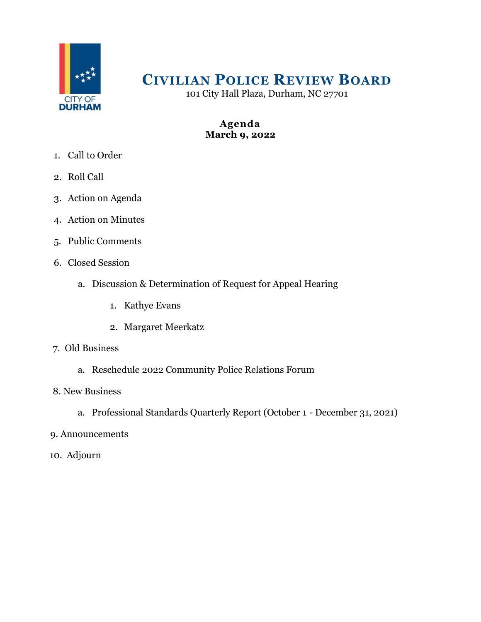

# **CIVILIAN POLICE REVIEW BOARD**

101 City Hall Plaza, Durham, NC 27701

# **Agenda March 9, 2022**

- 1. Call to Order
- 2. Roll Call
- 3. Action on Agenda
- 4. Action on Minutes
- 5. Public Comments
- 6. Closed Session
	- a. Discussion & Determination of Request for Appeal Hearing
		- 1. Kathye Evans
		- 2. Margaret Meerkatz
- 7. Old Business
	- a. Reschedule 2022 Community Police Relations Forum
- 8. New Business
	- a. Professional Standards Quarterly Report (October 1 December 31, 2021)
- 9. Announcements
- 10. Adjourn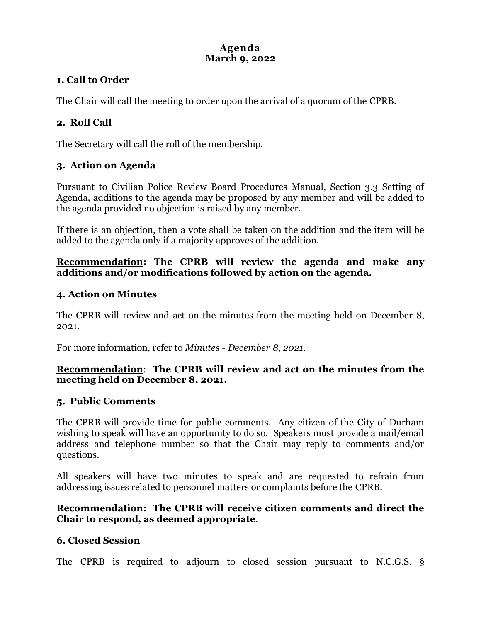# **Agenda March 9, 2022**

# **1. Call to Order**

The Chair will call the meeting to order upon the arrival of a quorum of the CPRB.

# **2. Roll Call**

The Secretary will call the roll of the membership.

# **3. Action on Agenda**

Pursuant to Civilian Police Review Board Procedures Manual, Section 3.3 Setting of Agenda, additions to the agenda may be proposed by any member and will be added to the agenda provided no objection is raised by any member.

If there is an objection, then a vote shall be taken on the addition and the item will be added to the agenda only if a majority approves of the addition.

## **Recommendation: The CPRB will review the agenda and make any additions and/or modifications followed by action on the agenda.**

#### **4. Action on Minutes**

The CPRB will review and act on the minutes from the meeting held on December 8, 2021.

For more information, refer to *Minutes - December 8, 2021.*

## **Recommendation**: **The CPRB will review and act on the minutes from the meeting held on December 8, 2021.**

#### **5. Public Comments**

The CPRB will provide time for public comments. Any citizen of the City of Durham wishing to speak will have an opportunity to do so. Speakers must provide a mail/email address and telephone number so that the Chair may reply to comments and/or questions.

All speakers will have two minutes to speak and are requested to refrain from addressing issues related to personnel matters or complaints before the CPRB.

## **Recommendation: The CPRB will receive citizen comments and direct the Chair to respond, as deemed appropriate**.

# **6. Closed Session**

The CPRB is required to adjourn to closed session pursuant to N.C.G.S. §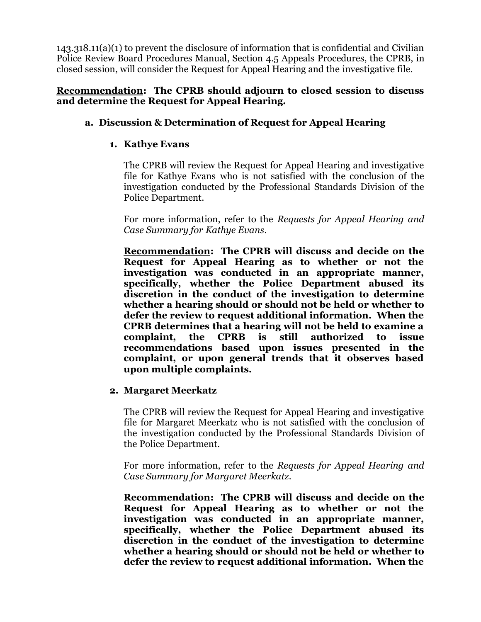143.318.11(a)(1) to prevent the disclosure of information that is confidential and Civilian Police Review Board Procedures Manual, Section 4.5 Appeals Procedures, the CPRB, in closed session, will consider the Request for Appeal Hearing and the investigative file.

#### **Recommendation: The CPRB should adjourn to closed session to discuss and determine the Request for Appeal Hearing.**

## **a. Discussion & Determination of Request for Appeal Hearing**

#### **1. Kathye Evans**

The CPRB will review the Request for Appeal Hearing and investigative file for Kathye Evans who is not satisfied with the conclusion of the investigation conducted by the Professional Standards Division of the Police Department.

For more information, refer to the *Requests for Appeal Hearing and Case Summary for Kathye Evans.*

**Recommendation: The CPRB will discuss and decide on the Request for Appeal Hearing as to whether or not the investigation was conducted in an appropriate manner, specifically, whether the Police Department abused its discretion in the conduct of the investigation to determine whether a hearing should or should not be held or whether to defer the review to request additional information. When the CPRB determines that a hearing will not be held to examine a complaint, the CPRB is still authorized to issue recommendations based upon issues presented in the complaint, or upon general trends that it observes based upon multiple complaints.** 

#### **2. Margaret Meerkatz**

The CPRB will review the Request for Appeal Hearing and investigative file for Margaret Meerkatz who is not satisfied with the conclusion of the investigation conducted by the Professional Standards Division of the Police Department.

For more information, refer to the *Requests for Appeal Hearing and Case Summary for Margaret Meerkatz.*

**Recommendation: The CPRB will discuss and decide on the Request for Appeal Hearing as to whether or not the investigation was conducted in an appropriate manner, specifically, whether the Police Department abused its discretion in the conduct of the investigation to determine whether a hearing should or should not be held or whether to defer the review to request additional information. When the**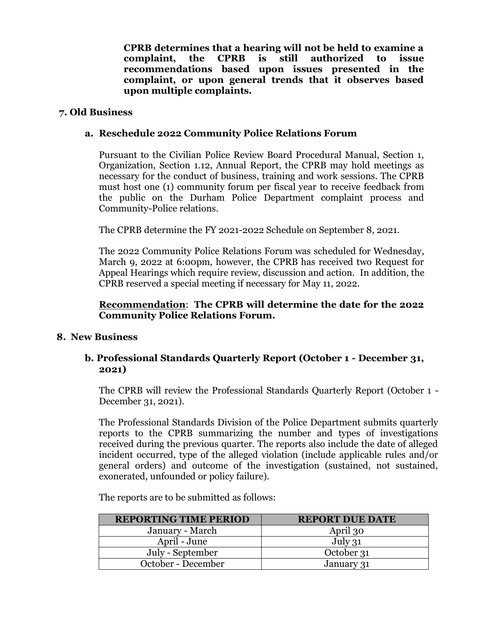**CPRB determines that a hearing will not be held to examine a complaint, the CPRB is still authorized to issue recommendations based upon issues presented in the complaint, or upon general trends that it observes based upon multiple complaints.** 

#### **7. Old Business**

## **a. Reschedule 2022 Community Police Relations Forum**

Pursuant to the Civilian Police Review Board Procedural Manual, Section 1, Organization, Section 1.12, Annual Report, the CPRB may hold meetings as necessary for the conduct of business, training and work sessions. The CPRB must host one (1) community forum per fiscal year to receive feedback from the public on the Durham Police Department complaint process and Community-Police relations.

The CPRB determine the FY 2021-2022 Schedule on September 8, 2021.

The 2022 Community Police Relations Forum was scheduled for Wednesday, March 9, 2022 at 6:00pm, however, the CPRB has received two Request for Appeal Hearings which require review, discussion and action. In addition, the CPRB reserved a special meeting if necessary for May 11, 2022.

## **Recommendation**: **The CPRB will determine the date for the 2022 Community Police Relations Forum.**

# **8. New Business**

## **b. Professional Standards Quarterly Report (October 1 - December 31, 2021)**

The CPRB will review the Professional Standards Quarterly Report (October 1 - December 31, 2021).

The Professional Standards Division of the Police Department submits quarterly reports to the CPRB summarizing the number and types of investigations received during the previous quarter. The reports also include the date of alleged incident occurred, type of the alleged violation (include applicable rules and/or general orders) and outcome of the investigation (sustained, not sustained, exonerated, unfounded or policy failure).

The reports are to be submitted as follows:

| <b>REPORTING TIME PERIOD</b> | <b>REPORT DUE DATE</b> |
|------------------------------|------------------------|
| January - March              | April 30               |
| April - June                 | July 31                |
| July - September             | October 31             |
| October - December           | January 31             |